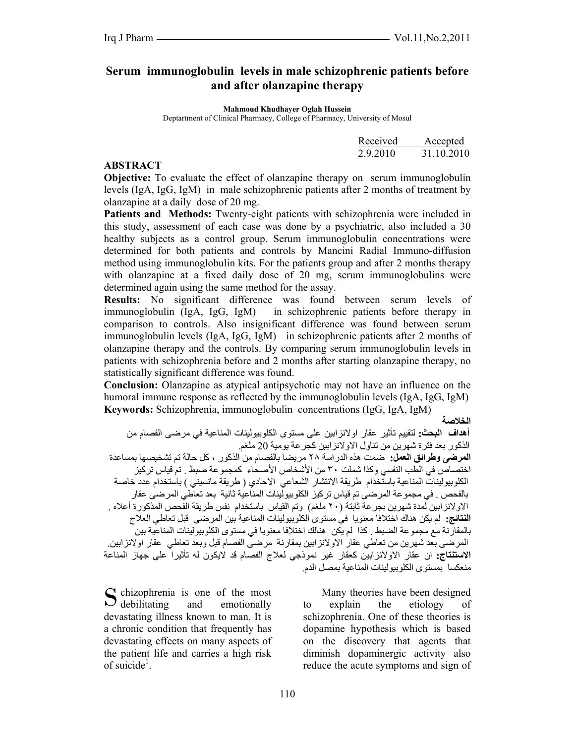# **Serum immunoglobulin levels in male schizophrenic patients before and after olanzapine therapy**

**Mahmoud Khudhayer Oglah Hussein** 

Deptartment of Clinical Pharmacy, College of Pharmacy, University of Mosul

| Received<br>Accepted   |  |
|------------------------|--|
| 31.10.2010<br>2.9.2010 |  |

#### **ABSTRACT**

**Objective:** To evaluate the effect of olanzapine therapy on serum immunoglobulin levels (IgA, IgG, IgM) in male schizophrenic patients after 2 months of treatment by olanzapine at a daily dose of 20 mg.

**Patients and Methods:** Twenty-eight patients with schizophrenia were included in this study, assessment of each case was done by a psychiatric, also included a 30 healthy subjects as a control group. Serum immunoglobulin concentrations were determined for both patients and controls by Mancini Radial Immuno-diffusion method using immunoglobulin kits. For the patients group and after 2 months therapy with olanzapine at a fixed daily dose of 20 mg, serum immunoglobulins were determined again using the same method for the assay.

**Results:** No significant difference was found between serum levels of immunoglobulin (IgA, IgG, IgM) in schizophrenic patients before therapy in comparison to controls. Also insignificant difference was found between serum immunoglobulin levels (IgA, IgG, IgM) in schizophrenic patients after 2 months of olanzapine therapy and the controls. By comparing serum immunoglobulin levels in patients with schizophrenia before and 2 months after starting olanzapine therapy, no statistically significant difference was found.

**Conclusion:** Olanzapine as atypical antipsychotic may not have an influence on the humoral immune response as reflected by the immunoglobulin levels (IgA, IgG, IgM) **Keywords:** Schizophrenia, immunoglobulin concentrations (IgG, IgA, IgM)

**الخلاصة** 

**أهداف البحث:** لتقييم تأثير عقار اولانزابين على مستوى الكلوبيولينات المناعية في مرضى الفصام من الذكور بعد فترة شهرين من تناول الاولانزابين كجرعة يومية 20 ملغم. **المرضى وطرائق العمل:** ضمت هذه الدراسة ٢٨ مريضا بالفصام من الذآور ، آل حالة تم تشخيصها بمساعدة اختصاص في الطب النفسي وكذا شملت ٣٠ من الأشخاص الأصحاء كمجموعة ضبط . تم قياس تركيز الكلوبيولينات المناعية باستخدام طريقة الانتشار الشعاعي الاحادي ( طريقة مانسيني ) باستخدام عدد خاصة بالفحص . في مجموعة المرضىي تم قياس تركيز الكلوبيولينات المناعية ثانية بعد تعاطي المرضىي عقار الاولانزابين لمدة شهرين بجر عة ثابتة (٢٠ ملغم) وتم القياس باستخدام نفس طريقة الفحص المذكورة أعلاه . **النتائج:** لم يكن هناك اختلافا معنويا في مستوى الكلوبيولينات المناعية بين المرضى قبل تعاطي العلاج بالمقارنة مع مجموعة الضبط . آذا لم يكن هنالك اختلافا معنويا في مستوى الكلوبيولينات المناعية بين المرضى بعد شهرين من تعاطي عقار الاولانزابين بمقارنة مرضى الفصام قبل وبعد تعاطي عقار اولانزابين. ا**لاستنتاج:** ان عقار الاولانزابين كعقار غير نموذجي لعلاج الفصام قد لايكون له تأثيراً على جهاز المناعة منعكسا بمستوى الكلوبيولينات المناعية بمصل الدم.

 $\mathbb C$  chizophrenia is one of the most and emotionally devastating illness known to man. It is a chronic condition that frequently has devastating effects on many aspects of the patient life and carries a high risk of suicide<sup>1</sup>.  $\overline{\smash{\bigcup}}$  debilitating

 Many theories have been designed to explain the etiology of schizophrenia. One of these theories is dopamine hypothesis which is based on the discovery that agents that diminish dopaminergic activity also reduce the acute symptoms and sign of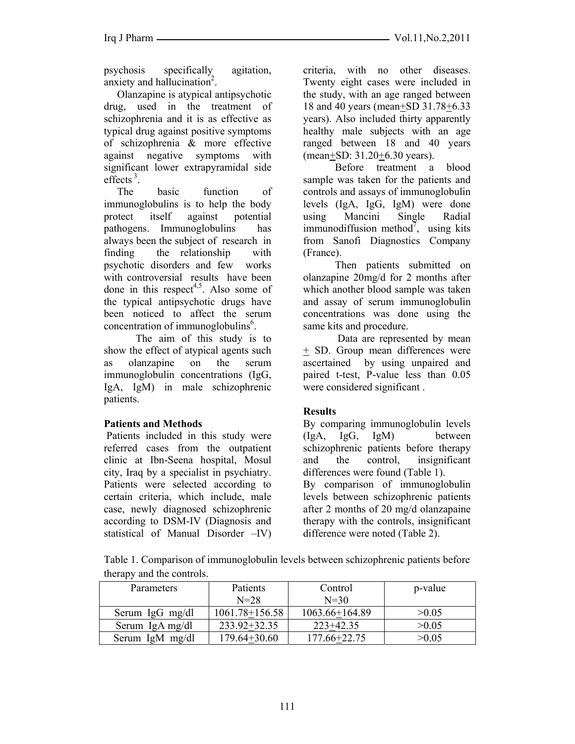psychosis specifically agitation, anxiety and hallucination<sup>2</sup>.

 Olanzapine is atypical antipsychotic drug, used in the treatment of schizophrenia and it is as effective as typical drug against positive symptoms of schizophrenia & more effective against negative symptoms with significant lower extrapyramidal side effects $^3$ .

 The basic function of immunoglobulins is to help the body protect itself against potential pathogens. Immunoglobulins has always been the subject of research in finding the relationship with psychotic disorders and few works with controversial results have been done in this respect<sup>4,5</sup>. Also some of the typical antipsychotic drugs have been noticed to affect the serum concentration of immunoglobulins<sup>6</sup>.

The aim of this study is to show the effect of atypical agents such as olanzapine on the serum immunoglobulin concentrations (IgG, IgA, IgM) in male schizophrenic patients.

# **Patients and Methods**

 Patients included in this study were referred cases from the outpatient clinic at Ibn-Seena hospital, Mosul city, Iraq by a specialist in psychiatry. Patients were selected according to certain criteria, which include, male case, newly diagnosed schizophrenic according to DSM-IV (Diagnosis and statistical of Manual Disorder –IV) criteria, with no other diseases. Twenty eight cases were included in the study, with an age ranged between 18 and 40 years (mean+SD 31.78+6.33 years). Also included thirty apparently healthy male subjects with an age ranged between 18 and 40 years (mean+SD: 31.20+6.30 years).

 Before treatment a blood sample was taken for the patients and controls and assays of immunoglobulin levels (IgA, IgG, IgM) were done using Mancini Single Radial immunodiffusion method<sup>7</sup>, using kits from Sanofi Diagnostics Company (France).

Then patients submitted on olanzapine 20mg/d for 2 months after which another blood sample was taken and assay of serum immunoglobulin concentrations was done using the same kits and procedure.

 Data are represented by mean + SD. Group mean differences were ascertained by using unpaired and paired t-test, P-value less than 0.05 were considered significant .

# **Results**

By comparing immunoglobulin levels (IgA, IgG, IgM) between schizophrenic patients before therapy and the control, insignificant differences were found (Table 1).

By comparison of immunoglobulin levels between schizophrenic patients after 2 months of 20 mg/d olanzapaine therapy with the controls, insignificant difference were noted (Table 2).

Table 1. Comparison of immunoglobulin levels between schizophrenic patients before therapy and the controls.

| Parameters      | Patients         | Control        | p-value |
|-----------------|------------------|----------------|---------|
|                 | $N = 28$         | $N = 30$       |         |
| Serum IgG mg/dl | 1061.78+156.58   | 1063.66+164.89 | >0.05   |
| Serum IgA mg/dl | $233.92 + 32.35$ | $223+42.35$    | >0.05   |
| Serum IgM mg/dl | 179.64+30.60     | 177.66+22.75   | >0.05   |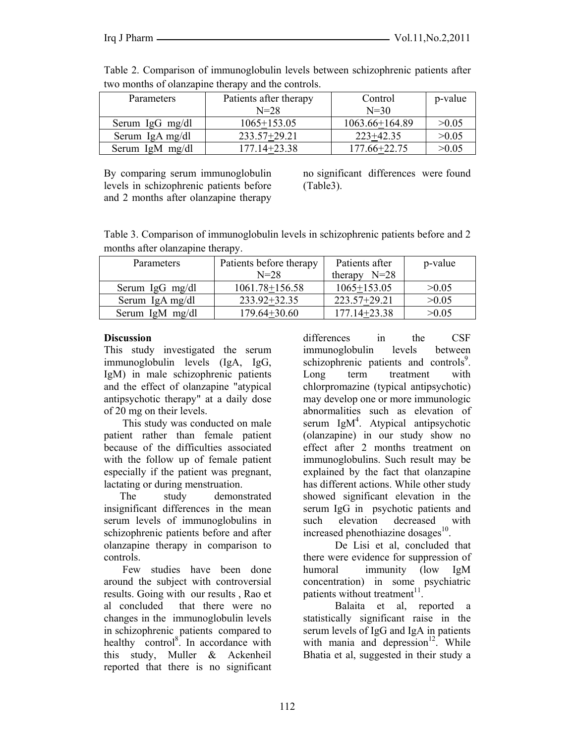| Parameters      | Patients after therapy | Control        | p-value |
|-----------------|------------------------|----------------|---------|
|                 | $N = 28$               | $N=30$         |         |
| Serum IgG mg/dl | $1065+153.05$          | 1063.66+164.89 | >0.05   |
| Serum IgA mg/dl | 233.57+29.21           | $223+42.35$    | >0.05   |
| Serum IgM mg/dl | 177.14+23.38           | 177.66+22.75   | >0.05   |

Table 2. Comparison of immunoglobulin levels between schizophrenic patients after two months of olanzapine therapy and the controls.

By comparing serum immunoglobulin levels in schizophrenic patients before and 2 months after olanzapine therapy

no significant differences were found (Table3).

Table 3. Comparison of immunoglobulin levels in schizophrenic patients before and 2 months after olanzapine therapy.

| <b>Parameters</b> | Patients before therapy | Patients after   | p-value |
|-------------------|-------------------------|------------------|---------|
|                   | $N = 28$                | therapy $N=28$   |         |
| Serum IgG mg/dl   | 1061.78+156.58          | $1065+153.05$    | >0.05   |
| Serum IgA mg/dl   | 233.92+32.35            | 223.57+29.21     | >0.05   |
| Serum IgM mg/dl   | 179.64+30.60            | $177.14 + 23.38$ | >0.05   |

#### **Discussion**

This study investigated the serum immunoglobulin levels (IgA, IgG, IgM) in male schizophrenic patients and the effect of olanzapine "atypical antipsychotic therapy" at a daily dose of 20 mg on their levels.

 This study was conducted on male patient rather than female patient because of the difficulties associated with the follow up of female patient especially if the patient was pregnant, lactating or during menstruation.

 The study demonstrated insignificant differences in the mean serum levels of immunoglobulins in schizophrenic patients before and after olanzapine therapy in comparison to controls.

 Few studies have been done around the subject with controversial results. Going with our results , Rao et al concluded that there were no changes in the immunoglobulin levels in schizophrenic patients compared to healthy control<sup>8</sup>. In accordance with this study, Muller & Ackenheil reported that there is no significant differences in the CSF immunoglobulin levels between schizophrenic patients and controls<sup>9</sup>. Long term treatment with chlorpromazine (typical antipsychotic) may develop one or more immunologic abnormalities such as elevation of serum  $\text{IgM}^4$ . Atypical antipsychotic (olanzapine) in our study show no effect after 2 months treatment on immunoglobulins. Such result may be explained by the fact that olanzapine has different actions. While other study showed significant elevation in the serum IgG in psychotic patients and such elevation decreased with increased phenothiazine dosages $^{10}$ .

 De Lisi et al, concluded that there were evidence for suppression of humoral immunity (low IgM concentration) in some psychiatric patients without treatment $^{11}$ 

Balaita et al, reported a statistically significant raise in the serum levels of IgG and IgA in patients with mania and depression $12$ . While Bhatia et al, suggested in their study a